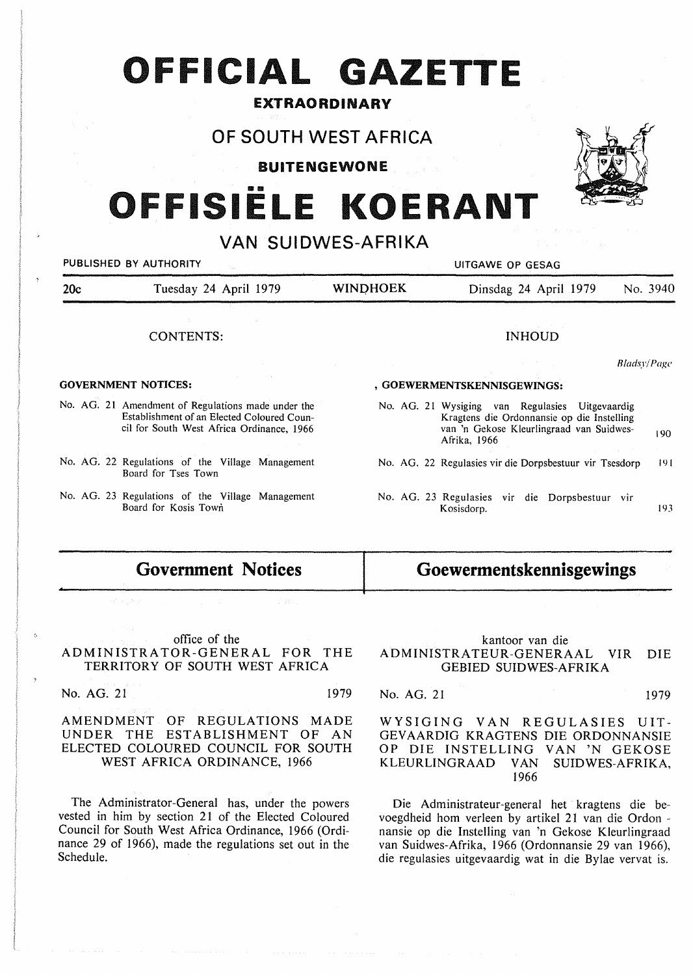# **OFFICIAL GAZETTE**

### **EXTRAORDINARY**

## **OF SOUTH WEST AFRICA**

**BUITENGEWONE** 

# OFFISIËLE KOERANT

# **VAN SUIDWES-AFRIKA**

|     | PUBLISHED BY AUTHORITY                                                                                                                        | UITGAWE OP GESAG |                                                                                                                                                           |             |  |  |  |  |  |  |  |  |  |  |
|-----|-----------------------------------------------------------------------------------------------------------------------------------------------|------------------|-----------------------------------------------------------------------------------------------------------------------------------------------------------|-------------|--|--|--|--|--|--|--|--|--|--|
| 20c | Tuesday 24 April 1979                                                                                                                         | <b>WINDHOEK</b>  | Dinsdag 24 April 1979                                                                                                                                     | No. 3940    |  |  |  |  |  |  |  |  |  |  |
|     | CONTENTS:                                                                                                                                     |                  | <b>INHOUD</b>                                                                                                                                             |             |  |  |  |  |  |  |  |  |  |  |
|     |                                                                                                                                               |                  |                                                                                                                                                           | Bladsy/Page |  |  |  |  |  |  |  |  |  |  |
|     | <b>GOVERNMENT NOTICES:</b>                                                                                                                    |                  | , GOEWERMENTSKENNISGEWINGS:                                                                                                                               |             |  |  |  |  |  |  |  |  |  |  |
|     | No. AG. 21 Amendment of Regulations made under the<br>Establishment of an Elected Coloured Coun-<br>cil for South West Africa Ordinance, 1966 |                  | No. AG. 21 Wysiging van Regulasies Uitgevaardig<br>Kragtens die Ordonnansie op die Instelling<br>van 'n Gekose Kleurlingraad van Suidwes-<br>Afrika, 1966 | 190         |  |  |  |  |  |  |  |  |  |  |
|     | No. AG. 22 Regulations of the Village Management<br>Board for Tses Town                                                                       |                  | No. AG. 22 Regulasies vir die Dorpsbestuur vir Tsesdorp                                                                                                   | 191         |  |  |  |  |  |  |  |  |  |  |
|     | No. AG. 23 Regulations of the Village Management<br>Board for Kosis Town                                                                      |                  | No. AG. 23 Regulasies vir die Dorpsbestuur vir<br>Kosisdorp.                                                                                              | 193         |  |  |  |  |  |  |  |  |  |  |

# **Government Notices**

#### office of the ADMINISTRATOR-GENERAL FOR THE TERRITORY OF SOUTH WEST AFRICA

No. AG. 21 1979

#### AMENDMENT OF REGULATIONS MADE UNDER THE ESTABLISHMENT OF AN ELECTED COLOURED COUNCIL FOR SOUTH WEST AFRICA ORDINANCE, 1966

The Administrator-General has, under the powers vested in him by section 21 of the Elected Coloured Council for South West Africa Ordinance, 1966 (Ordinance 29 of 1966), made the regulations set out in the Schedule.

# **Goewermentskennisgewings**

#### kantoor van die ADMINISTRATEUR-GENERAAL VIR DIE GEBIED SUIDWES-AFRIKA

No. AG. 21 1979

WYSIGING VAN REGULASIES UIT-GEV AARDIG KRAGTENS DIE ORDONNANSIE OP DIE INSTELLING VAN 'N GEKOSE KLEURLINGRAAD VAN SUIDWES-AFRIKA, 1966

Die Administrateur-general het kragtens die bevoegdheid horn verleen by artikel 21 van die Ordon nansie op die Instelling van 'n Gekose Kleurlingraad van Suidwes-Afrika, 1966 (Ordonnansie 29 van 1966), die regulasies uitgevaardig wat in die Bylae vervat is.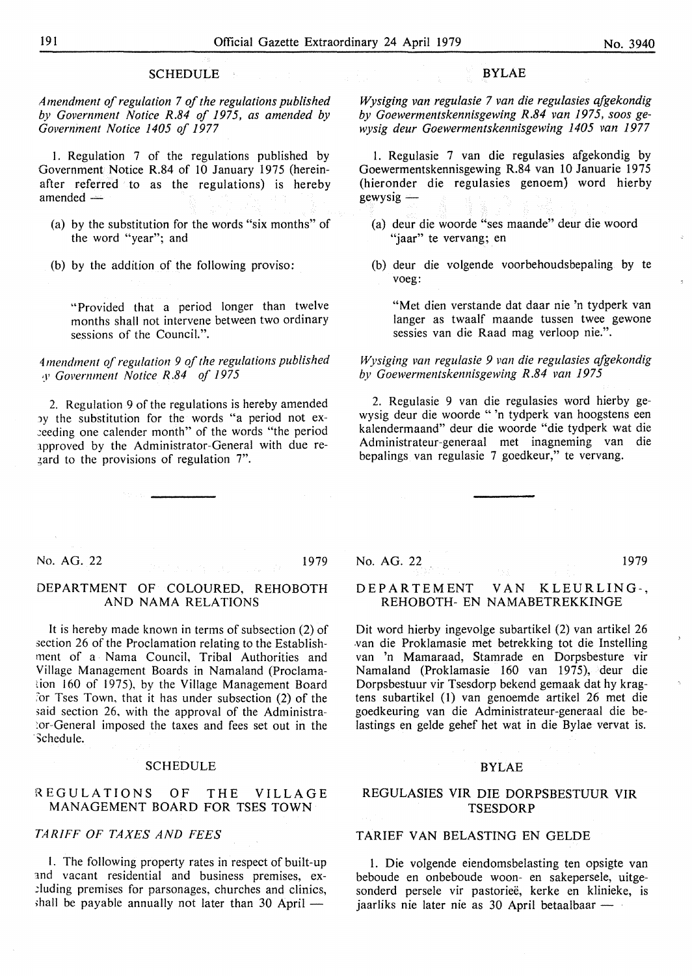#### **SCHEDULE**

*Amendment of regulation* 7 *of the regulations published by Government Notice R.84 of 1975, as amended by Government Notice 1405 of 1977* 

I. Regulation 7 of the regulations published by Government Notice R.84 of IO January 1975 (hereinafter referred to as the regulations) is hereby  $a$ mended  $-$ 

- (a) by the substitution for the words "six months" of the word "year"; and
- (b) by the addition of the following proviso:

"Provided that a period longer than twelve months shall not intervene between two ordinary sessions of the Council.".

#### 4 *mendment of regulation 9 of the regulations published ,y Government Notice R.84 of 1975*

2. Regulation 9 of the regulations is hereby amended by the substitution for the words "a period not ex-..:eeding one calender month" of the words "the period 1pproved by the Administrator-General with due re-  $\frac{1}{2}$  ard to the provisions of regulation 7".

#### **BYLAE**

*Wysiging van regulasie* 7 *van die regulasies afgekondig by Goewermentskennisgewing R.84 van 1975, soos gewysig deur Goewermentskennisgewing 1405 van 1977* 

1. Regulasie 7 van die regulasies afgekondig by Goewermentskennisgewing R.84 van 10 Januarie 1975 (hieronder die regulasies genoem) word hierby  $g$ ewysig  $-$ 

- (a) deur die woorde "ses maande" deur die woord "jaar" te vervang; en
- (b) deur die volgende voorbehoudsbepaling by te voeg:

"Met dien verstande dat daar nie 'n tydperk van langer as twaalf maande tussen twee gewone sessies van die Raad mag verloop nie.".

#### *Wysiging van regulasie 9 van die regulasies afgekondig by Goewermentskennisgewing R.84 van 1975*

2. Regulasie 9 van die regulasies word hierby gewysig deur die woorde " 'n tydperk van hoogstens een kalendermaand" deur die woorde "die tydperk wat die Administrateur-generaal met inagneming van die bepalings van regulasie 7 goedkeur," te vervang.

No. AG. 22 1979

#### **DEPARTMENT OF COLOURED, REHOBOTH AND NAMA RELATIONS**

It is hereby made known in terms of subsection (2) of section 26 of the Proclamation relating to the Establishment of a Nama Council, Tribal Authorities and Village Management Boards in Namaland (Proclamation 160 of 1975), by the Village Management Board *:or* Tses Town, that it has under subsection (2) of the said section 26, with the approval of the Administra-'.or-General imposed the taxes and fees set out in the Schedule.

#### SCHEDULE

#### REGULATIONS OF THE VILLAGE MANAGEMENT BOARD FOR TSES TOWN

#### TARIFF OF TAXES AND FEES

1. The following property rates in respect of built-up and vacant residential and business premises, ex-.::luding premises for parsonages, churches and clinics, shall be payable annually not later than  $30$  April  $-$ 

No. AG. 22 1979

#### DEPAR TEMENT VAN KLEURLING-, REHOBOTH- EN NAMABETREKKINGE

Dit word hierby ingevolge subartikel (2) van artikel 26 .van die Proklamasie met betrekking tot die Instelling van 'n Mamaraad, Stamrade en Dorpsbesture vir Namaland (Proklamasie 160 van 1975), deur die Dorpsbestuur vir Tsesdorp bekend gemaak dat hy kragtens subartikel (I) van genoemde artikel 26 met die goedkeuring van die Administrateur-generaal die belastings en gelde gehef het wat in die Bylae vervat is.

#### BYLAE

#### REGULASIES VIR DIE DORPSBESTUUR VIR **TSESDORP**

#### TARIEF VAN BELASTING EN GELDE

I. Die volgende eiendomsbelasting ten opsigte van beboude en onbeboude woon- en sakepersele, uitgesonderd persele vir pastoriee, kerke en klinieke, is jaarliks nie later nie as 30 April betaalbaar  $-$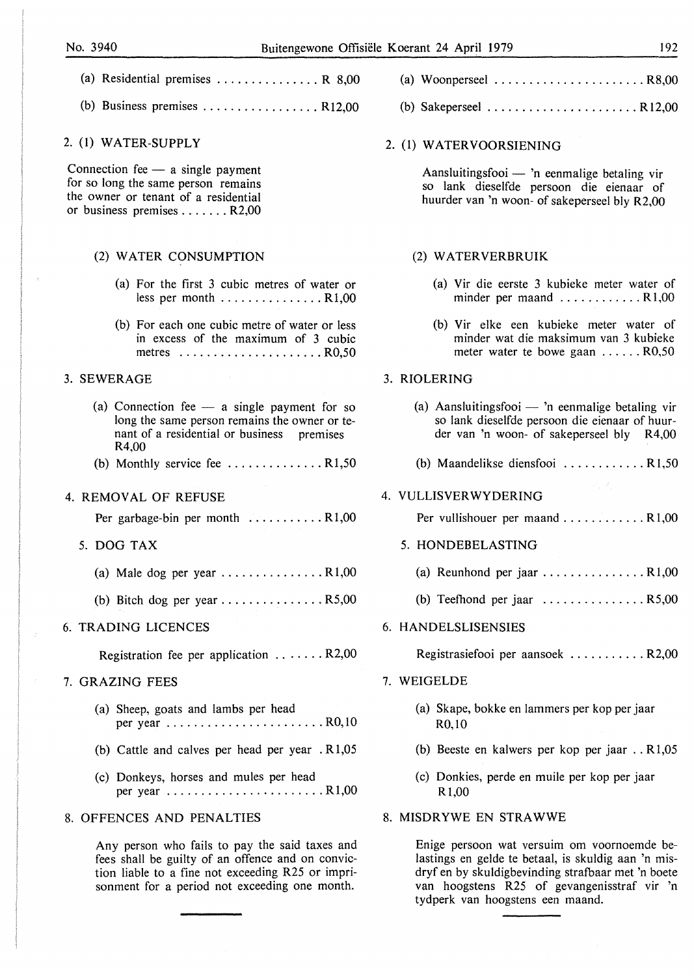(b) Business premises  $\dots \dots \dots \dots \dots$ . R12,00

#### 2. (1) **WATER-SUPPLY**

Connection fee  $-$  a single payment for so long the same person remains the owner or tenant of a residential or business premises ....... R2,00

#### (2) WATER CONSUMPTION

- (a) For the first 3 cubic metres of water or less per month ................ R1,00
- (b) For each one cubic metre of water or less in excess of the maximum of 3 cubic metres ......................... R0,50

#### 3. SEWERAGE

- (a) Connection fee  $-$  a single payment for so long the same person remains the owner or tenant of a residential or business premises R4,00
- (b) Monthly service fee  $\dots \dots \dots \dots \dots$  R1,50

#### 4. **REMOVAL** OF REFUSE

Per garbage-bin per month ............. R1,00

#### 5. DOG TAX

- (a) Male dog per year  $\dots \dots \dots \dots \dots \dots R1,00$
- (b) Bitch dog per year  $\dots \dots \dots \dots \dots$  R5,00

#### 6. TRADING LICENCES

Registration fee per application . . . .... R2,00

#### 7. GRAZING FEES

- (a) Sheep, goats and lambs per head per year ..........................R0,10
- (b) Cattle and calves per head per year . Rl,05
- (c) Donkeys, horses and mules per head per year ....................... Rl,00

#### 8. OFFENCES AND PENALTIES

Any person who fails to pay the said taxes and fees shall be guilty of an offence and on conviction liable to a fine not exceeding R25 or imprisonment for a period not exceeding one month.

| (a) Woonperseel $\ldots \ldots \ldots \ldots \ldots \ldots \ldots$ R8,00 |  |  |  |  |  |  |  |  |  |  |  |  |
|--------------------------------------------------------------------------|--|--|--|--|--|--|--|--|--|--|--|--|
|                                                                          |  |  |  |  |  |  |  |  |  |  |  |  |

(b) Sakeperseel ...................... R 12,00

#### 2. (1) WATERVOORSIENING

Aansluitingsfooi  $-$  'n eenmalige betaling vir so lank dieselfde persoon die eienaar of huurder van 'n woon- of sakeperseel bly R2,00

#### (2) WATER VERBRUIK

- (a) Vir die eerste 3 kubieke meter water of minder per maand ............ **R** 1,00
- (b) Vir elke een kubieke meter water of minder wat die maksimum van 3 kubieke meter water te bowe gaan ...... R0,50

#### 3. **RIOLERING**

- (a) Aansluitingsfooi 'n eenmalige betaling vir so lank dieselfde persoon die eienaar of huurder van 'n woon- of sakeperseel bly R4,00
- (b) Maandelikse diensfooi ............ R 1,50

#### 4. VULLISVER WYDERING

Per vullishouer per maand ............. R 1,00

- 5. HONDEBELASTING
	- (a) Reunhond per jaar  $\dots \dots \dots \dots \dots$  R1,00
	- (b) Teefhond per jaar  $\dots \dots \dots \dots \dots$  R5,00

#### 6. HANDELSLISENSIES

Registrasiefooi per aansoek ........... R2,00

#### 7. WEIGELDE

- (a) Skape, bokke en lammers per kop per jaar R0,10
- (b) Beeste en kalwers per kop per jaar .. Rl,05
- (c) Donkies, perde en muile per kop per jaar Rl,00

#### 8. MISDRYWE EN STRAWWE

Enige persoon wat versuim om voornoemde belastings en gelde te betaal, is skuldig aan 'n misdryf en by skuldigbevinding strafbaar met 'n boete van hoogstens R25 of gevangenisstraf vir 'n tydperk van hoogstens een maand.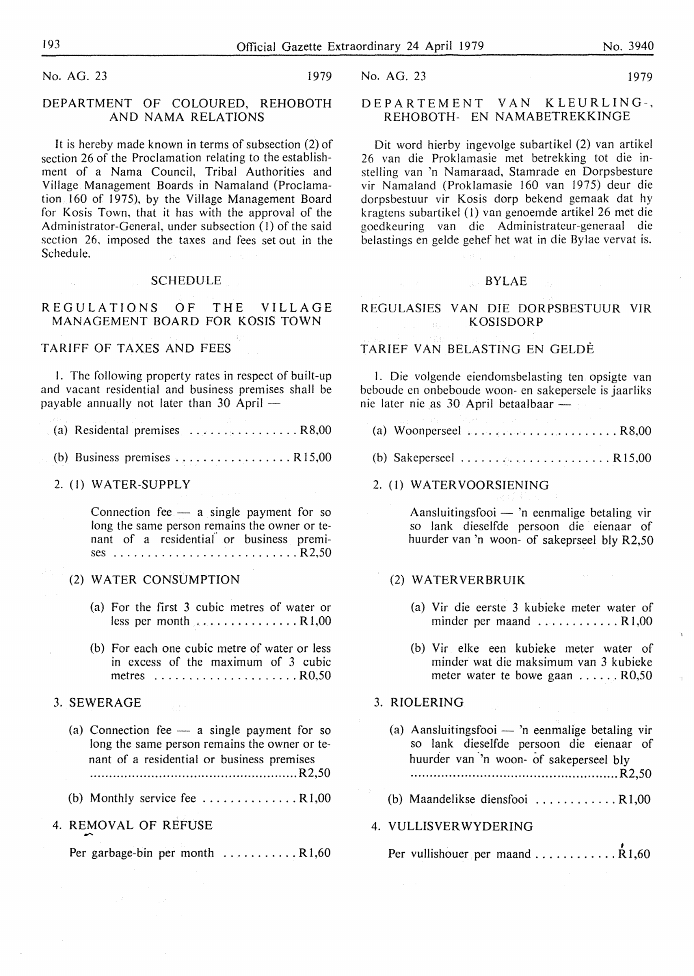No. AG. 23 1979

#### DEPARTMENT OF COLOURED, REHOBOTH AND NAMA RELATIONS

It is hereby made known in terms of subsection (2) of section 26 of the Proclamation relating to the establishment of a Nama Council, Tribal Authorities and Village Management Boards in Namaland (Proclamation  $160$  of 1975), by the Village Management Board for Kosis Town, that it has with the approval of the Administrator-General, under subsection (I) of the said section 26, imposed the taxes and fees set out in the Schedule.

#### SCHEDULE

#### REGULATIONS OF THE VILLAGE MANAGEMENT BOARD FOR KOSIS TOWN

#### TARIFF OF TAXES AND FEES

I. The following property rates in respect of built-up and vacant residential and business premises shall be payable annually not later than  $30$  April  $-$ 

| (a) Residental premises $\ldots \ldots \ldots \ldots \ldots \ldots$ R8,00 |  |  |  |  |  |  |
|---------------------------------------------------------------------------|--|--|--|--|--|--|

(b) Business premises ................. **R** 15,00

#### 2. (I) **WATER-SUPPLY**

Connection fee  $-$  a single payment for so long the same person remains the owner or tenant of a residential" or business premises ........................... R2,50

#### (2) WATER CONSUMPTION

- (a) For the first 3 cubic metres of water or less per month ............... Rl,00
- (b) For each one cubic metre of water or less in excess of the maximum of 3 cubic metres ..................... R0,50

#### 3. SEWERAGE

- (a) Connection fee  $-$  a single payment for so long the same person remains the owner or tenant of a residential or business premises ...................................................... R2,50
- (b) Monthly service fee .............. Rl,00

#### 4. REMOVAL OF REFUSE

Per garbage-bin per month ............. R1,60

#### DEPARTEMENT VAN KLEURLING-, REHOBOTH- EN NAMABETREKKINGE

Dit word hierby ingevolge subartikel (2) van artikel 26 van die Proklamasie met betrekking tot die instelling van 'n Namaraad, Stamrade en Dorpsbesture vir Namaland (Proklamasie 160 van 1975) deur die dorpsbestuur vir Kosis dorp bekend gemaak dat hy kragtens subartikel (I) van genoemde artikel 26 met die goedkeuring van die Administrateur-generaal die belastings en gelde gehef het wat in die Bylae vervat is.

#### BYLAE

#### REGULASIES VAN DIE DORPSBESTUUR VIR KOSISDORP

#### TARIEF VAN BELASTING EN GELDE

I. Die volgendc eiendomsbelasting ten opsigte van beboude en onbeboude woon- en sakepersele is jaarliks nie later nie as 30 April betaalbaar -

- (a) Woonperseel ...................... R8,00
- (b) Sakeperseel .......................... R15,00

#### 2. (I) WATER VOORSIENING

Aansluitingsfooi  $-$  'n eenmalige betaling vir so lank dieselfde persoon die eienaar of huurder van 'n woon- of sakeprseel bly R2,50

#### (2) WATERVERBRUIK

- (a) Vir die eerste 3 kubieke meter water of minder per maand ............ R 1,00
- (b) Vir elke een kubieke meter water of minder wat die maksimum van 3 kubieke meter water te bowe gaan ......R0,50

### 3. RIOLERING

- (a) Aansluitingsfooi 'n eenmalige betaling vir so lank dieselfde persoon die eienaar of huurder van 'n woon- of sakeperseel bly **. ..................................................... R2,50**
- (b) Maandelikse diensfooi ............ R 1,00

#### 4. **VULLISVER WYDERING**

, Per vullishouer per maand ............ Rl,60